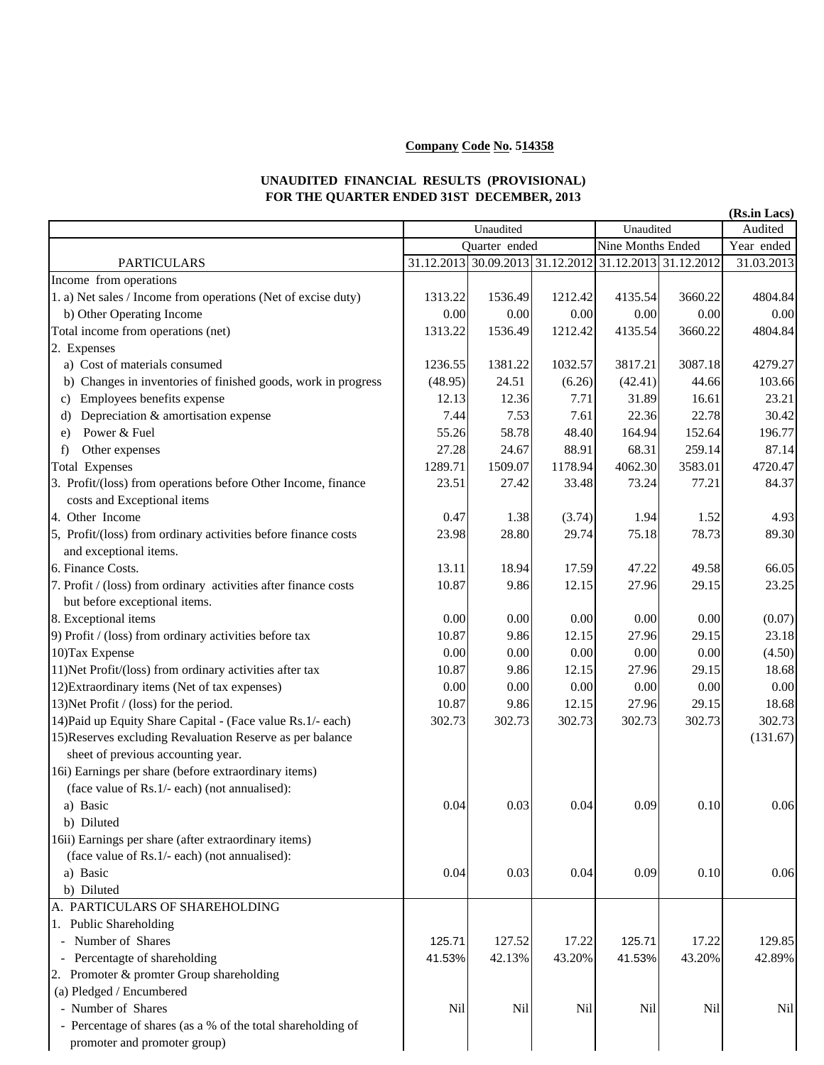## **Company Code No. 514358**

## **UNAUDITED FINANCIAL RESULTS (PROVISIONAL) FOR THE QUARTER ENDED 31ST DECEMBER, 2013**

|                                                                 |                                   |                                                        |         |                                |          | (Rs.in Lacs)             |
|-----------------------------------------------------------------|-----------------------------------|--------------------------------------------------------|---------|--------------------------------|----------|--------------------------|
|                                                                 | Unaudited<br><b>Ouarter</b> ended |                                                        |         | Unaudited<br>Nine Months Ended |          | Audited                  |
|                                                                 |                                   | 31.12.2013 30.09.2013 31.12.2012 31.12.2013 31.12.2012 |         |                                |          | Year ended<br>31.03.2013 |
| <b>PARTICULARS</b><br>Income from operations                    |                                   |                                                        |         |                                |          |                          |
| 1. a) Net sales / Income from operations (Net of excise duty)   | 1313.22                           | 1536.49                                                | 1212.42 | 4135.54                        | 3660.22  | 4804.84                  |
| b) Other Operating Income                                       | 0.00                              | 0.00                                                   | 0.00    | 0.00                           | 0.00     | 0.00                     |
| Total income from operations (net)                              | 1313.22                           | 1536.49                                                | 1212.42 | 4135.54                        | 3660.22  | 4804.84                  |
| 2. Expenses                                                     |                                   |                                                        |         |                                |          |                          |
| a) Cost of materials consumed                                   | 1236.55                           | 1381.22                                                | 1032.57 | 3817.21                        | 3087.18  | 4279.27                  |
| b) Changes in inventories of finished goods, work in progress   | (48.95)                           | 24.51                                                  | (6.26)  | (42.41)                        | 44.66    | 103.66                   |
| c) Employees benefits expense                                   | 12.13                             | 12.36                                                  | 7.71    | 31.89                          | 16.61    | 23.21                    |
| Depreciation & amortisation expense<br>d)                       | 7.44                              | 7.53                                                   | 7.61    | 22.36                          | 22.78    | 30.42                    |
| Power & Fuel<br>e)                                              | 55.26                             | 58.78                                                  | 48.40   | 164.94                         | 152.64   | 196.77                   |
| Other expenses<br>$\mathbf{f}$                                  | 27.28                             | 24.67                                                  | 88.91   | 68.31                          | 259.14   | 87.14                    |
| <b>Total Expenses</b>                                           | 1289.71                           | 1509.07                                                | 1178.94 | 4062.30                        | 3583.01  | 4720.47                  |
| 3. Profit/(loss) from operations before Other Income, finance   | 23.51                             | 27.42                                                  | 33.48   | 73.24                          | 77.21    | 84.37                    |
| costs and Exceptional items                                     |                                   |                                                        |         |                                |          |                          |
| 4. Other Income                                                 | 0.47                              | 1.38                                                   | (3.74)  | 1.94                           | 1.52     | 4.93                     |
| 5, Profit/(loss) from ordinary activities before finance costs  | 23.98                             | 28.80                                                  | 29.74   | 75.18                          | 78.73    | 89.30                    |
| and exceptional items.                                          |                                   |                                                        |         |                                |          |                          |
| 6. Finance Costs.                                               | 13.11                             | 18.94                                                  | 17.59   | 47.22                          | 49.58    | 66.05                    |
| 7. Profit / (loss) from ordinary activities after finance costs | 10.87                             | 9.86                                                   | 12.15   | 27.96                          | 29.15    | 23.25                    |
| but before exceptional items.                                   |                                   |                                                        |         |                                |          |                          |
| 8. Exceptional items                                            | 0.00                              | 0.00                                                   | 0.00    | 0.00                           | 0.00     | (0.07)                   |
| 9) Profit / (loss) from ordinary activities before tax          | 10.87                             | 9.86                                                   | 12.15   | 27.96                          | 29.15    | 23.18                    |
| 10) Tax Expense                                                 | 0.00                              | 0.00                                                   | 0.00    | 0.00                           | 0.00     | (4.50)                   |
| 11) Net Profit/(loss) from ordinary activities after tax        | 10.87                             | 9.86                                                   | 12.15   | 27.96                          | 29.15    | 18.68                    |
| 12) Extraordinary items (Net of tax expenses)                   | 0.00                              | 0.00                                                   | 0.00    | 0.00                           | 0.00     | 0.00                     |
| 13) Net Profit / (loss) for the period.                         | 10.87                             | 9.86                                                   | 12.15   | 27.96                          | 29.15    | 18.68                    |
| 14) Paid up Equity Share Capital - (Face value Rs.1/- each)     | 302.73                            | 302.73                                                 | 302.73  | 302.73                         | 302.73   | 302.73                   |
| 15) Reserves excluding Revaluation Reserve as per balance       |                                   |                                                        |         |                                |          | (131.67)                 |
| sheet of previous accounting year.                              |                                   |                                                        |         |                                |          |                          |
| 16i) Earnings per share (before extraordinary items)            |                                   |                                                        |         |                                |          |                          |
| (face value of Rs.1/- each) (not annualised):                   |                                   |                                                        |         |                                |          |                          |
| a) Basic                                                        | 0.04                              | 0.03                                                   | 0.04    | 0.09                           | $0.10\,$ | 0.06                     |
| b) Diluted                                                      |                                   |                                                        |         |                                |          |                          |
| 16ii) Earnings per share (after extraordinary items)            |                                   |                                                        |         |                                |          |                          |
| (face value of Rs.1/- each) (not annualised):                   |                                   |                                                        |         |                                |          |                          |
| a) Basic                                                        | 0.04                              | 0.03                                                   | 0.04    | 0.09                           | 0.10     | 0.06                     |
| b) Diluted                                                      |                                   |                                                        |         |                                |          |                          |
| A. PARTICULARS OF SHAREHOLDING                                  |                                   |                                                        |         |                                |          |                          |
| 1. Public Shareholding                                          |                                   |                                                        |         |                                |          |                          |
| - Number of Shares                                              | 125.71                            | 127.52                                                 | 17.22   | 125.71                         | 17.22    | 129.85                   |
| Percentagte of shareholding                                     | 41.53%                            | 42.13%                                                 | 43.20%  | 41.53%                         | 43.20%   | 42.89%                   |
| 2. Promoter & promter Group shareholding                        |                                   |                                                        |         |                                |          |                          |
| (a) Pledged / Encumbered                                        |                                   |                                                        |         |                                |          |                          |
| - Number of Shares                                              | Nil                               | Nil                                                    | Nil     | Nil                            | Nil      | Nil                      |
| - Percentage of shares (as a % of the total shareholding of     |                                   |                                                        |         |                                |          |                          |
| promoter and promoter group)                                    |                                   |                                                        |         |                                |          |                          |